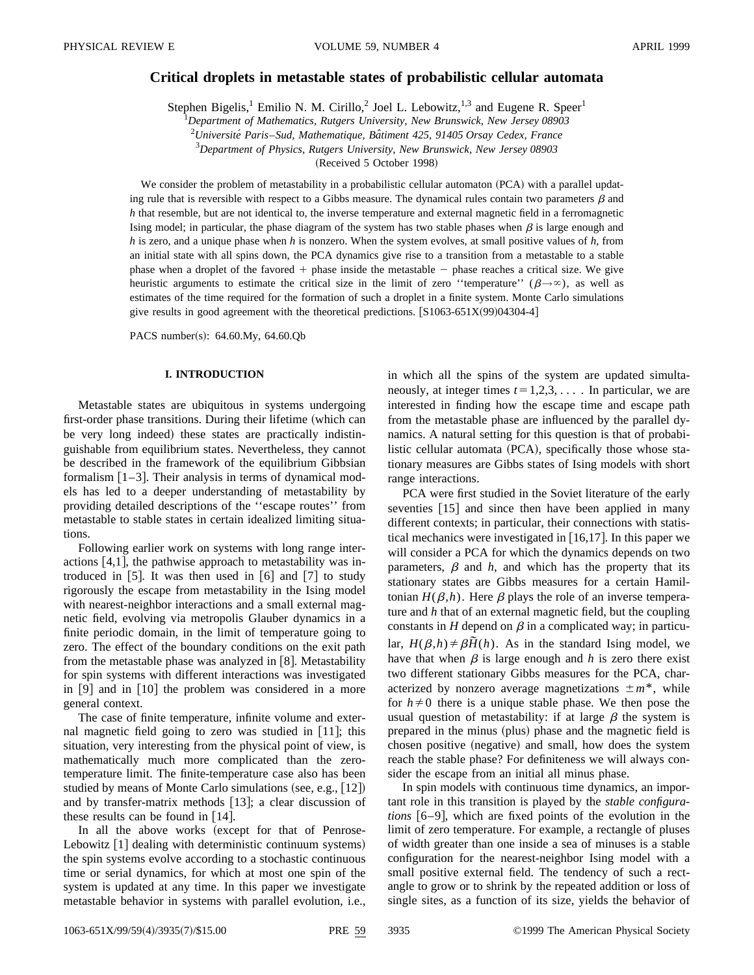# **Critical droplets in metastable states of probabilistic cellular automata**

Stephen Bigelis,<sup>1</sup> Emilio N. M. Cirillo,<sup>2</sup> Joel L. Lebowitz,<sup>1,3</sup> and Eugene R. Speer<sup>1</sup>

1 *Department of Mathematics, Rutgers University, New Brunswick, New Jersey 08903* 2 *Universite´ Paris*–*Sud, Mathematique, Baˆtiment 425, 91405 Orsay Cedex, France*

3 *Department of Physics, Rutgers University, New Brunswick, New Jersey 08903*

(Received 5 October 1998)

We consider the problem of metastability in a probabilistic cellular automaton (PCA) with a parallel updating rule that is reversible with respect to a Gibbs measure. The dynamical rules contain two parameters  $\beta$  and *h* that resemble, but are not identical to, the inverse temperature and external magnetic field in a ferromagnetic Ising model; in particular, the phase diagram of the system has two stable phases when  $\beta$  is large enough and *h* is zero, and a unique phase when *h* is nonzero. When the system evolves, at small positive values of *h*, from an initial state with all spins down, the PCA dynamics give rise to a transition from a metastable to a stable phase when a droplet of the favored  $+$  phase inside the metastable  $-$  phase reaches a critical size. We give heuristic arguments to estimate the critical size in the limit of zero ''temperature'' ( $\beta \rightarrow \infty$ ), as well as estimates of the time required for the formation of such a droplet in a finite system. Monte Carlo simulations give results in good agreement with the theoretical predictions.  $[**S**1063-651X(99)04304-4]$ 

PACS number(s): 64.60.My, 64.60.Qb

# **I. INTRODUCTION**

Metastable states are ubiquitous in systems undergoing first-order phase transitions. During their lifetime (which can be very long indeed) these states are practically indistinguishable from equilibrium states. Nevertheless, they cannot be described in the framework of the equilibrium Gibbsian formalism  $\lceil 1-3 \rceil$ . Their analysis in terms of dynamical models has led to a deeper understanding of metastability by providing detailed descriptions of the ''escape routes'' from metastable to stable states in certain idealized limiting situations.

Following earlier work on systems with long range interactions  $[4,1]$ , the pathwise approach to metastability was introduced in  $[5]$ . It was then used in  $[6]$  and  $[7]$  to study rigorously the escape from metastability in the Ising model with nearest-neighbor interactions and a small external magnetic field, evolving via metropolis Glauber dynamics in a finite periodic domain, in the limit of temperature going to zero. The effect of the boundary conditions on the exit path from the metastable phase was analyzed in  $[8]$ . Metastability for spin systems with different interactions was investigated in  $[9]$  and in  $[10]$  the problem was considered in a more general context.

The case of finite temperature, infinite volume and external magnetic field going to zero was studied in  $[11]$ ; this situation, very interesting from the physical point of view, is mathematically much more complicated than the zerotemperature limit. The finite-temperature case also has been studied by means of Monte Carlo simulations (see, e.g.,  $[12]$ ) and by transfer-matrix methods  $[13]$ ; a clear discussion of these results can be found in  $[14]$ .

In all the above works (except for that of Penrose-Lebowitz  $\lceil 1 \rceil$  dealing with deterministic continuum systems) the spin systems evolve according to a stochastic continuous time or serial dynamics, for which at most one spin of the system is updated at any time. In this paper we investigate metastable behavior in systems with parallel evolution, i.e., in which all the spins of the system are updated simultaneously, at integer times  $t=1,2,3,...$  In particular, we are interested in finding how the escape time and escape path from the metastable phase are influenced by the parallel dynamics. A natural setting for this question is that of probabilistic cellular automata (PCA), specifically those whose stationary measures are Gibbs states of Ising models with short range interactions.

PCA were first studied in the Soviet literature of the early seventies [15] and since then have been applied in many different contexts; in particular, their connections with statistical mechanics were investigated in  $[16,17]$ . In this paper we will consider a PCA for which the dynamics depends on two parameters,  $\beta$  and  $h$ , and which has the property that its stationary states are Gibbs measures for a certain Hamiltonian  $H(\beta,h)$ . Here  $\beta$  plays the role of an inverse temperature and *h* that of an external magnetic field, but the coupling constants in *H* depend on  $\beta$  in a complicated way; in particular,  $H(\beta,h) \neq \beta \tilde{H}(h)$ . As in the standard Ising model, we have that when  $\beta$  is large enough and *h* is zero there exist two different stationary Gibbs measures for the PCA, characterized by nonzero average magnetizations  $\pm m^*$ , while for  $h \neq 0$  there is a unique stable phase. We then pose the usual question of metastability: if at large  $\beta$  the system is prepared in the minus (plus) phase and the magnetic field is chosen positive (negative) and small, how does the system reach the stable phase? For definiteness we will always consider the escape from an initial all minus phase.

In spin models with continuous time dynamics, an important role in this transition is played by the *stable configurations*  $[6-9]$ , which are fixed points of the evolution in the limit of zero temperature. For example, a rectangle of pluses of width greater than one inside a sea of minuses is a stable configuration for the nearest-neighbor Ising model with a small positive external field. The tendency of such a rectangle to grow or to shrink by the repeated addition or loss of single sites, as a function of its size, yields the behavior of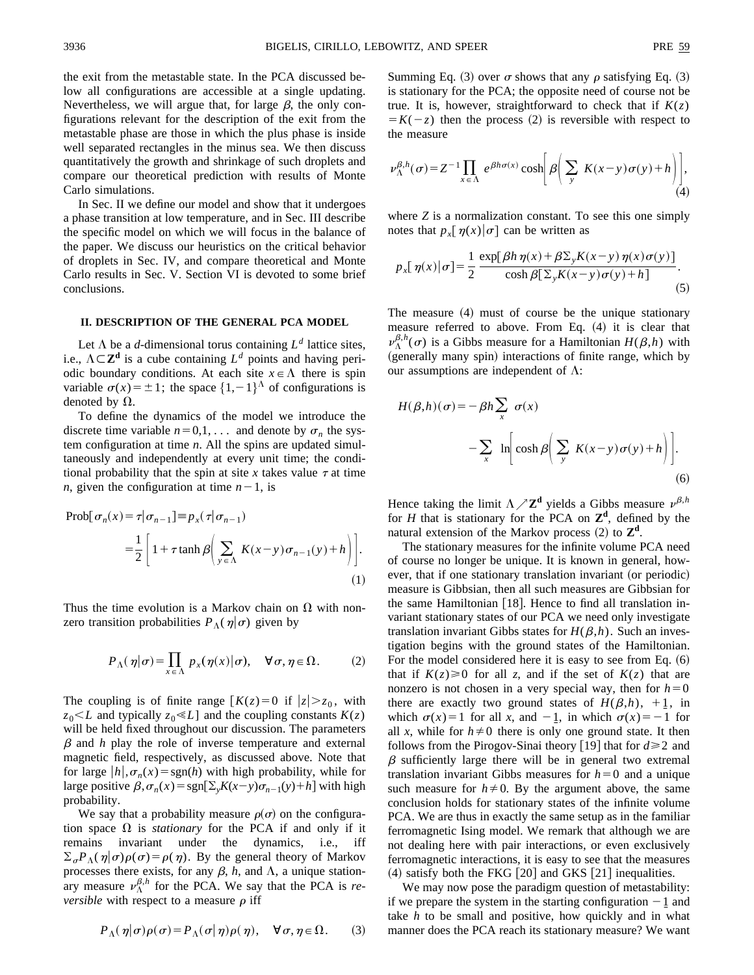the exit from the metastable state. In the PCA discussed below all configurations are accessible at a single updating. Nevertheless, we will argue that, for large  $\beta$ , the only configurations relevant for the description of the exit from the metastable phase are those in which the plus phase is inside well separated rectangles in the minus sea. We then discuss quantitatively the growth and shrinkage of such droplets and compare our theoretical prediction with results of Monte Carlo simulations.

In Sec. II we define our model and show that it undergoes a phase transition at low temperature, and in Sec. III describe the specific model on which we will focus in the balance of the paper. We discuss our heuristics on the critical behavior of droplets in Sec. IV, and compare theoretical and Monte Carlo results in Sec. V. Section VI is devoted to some brief conclusions.

### **II. DESCRIPTION OF THE GENERAL PCA MODEL**

Let  $\Lambda$  be a *d*-dimensional torus containing  $L^d$  lattice sites, i.e.,  $\Lambda \subset \mathbb{Z}^d$  is a cube containing  $L^d$  points and having periodic boundary conditions. At each site  $x \in \Lambda$  there is spin variable  $\sigma(x) = \pm 1$ ; the space  $\{1, -1\}^{\Lambda}$  of configurations is denoted by  $\Omega$ .

To define the dynamics of the model we introduce the discrete time variable  $n=0,1,...$  and denote by  $\sigma_n$  the system configuration at time *n*. All the spins are updated simultaneously and independently at every unit time; the conditional probability that the spin at site *x* takes value  $\tau$  at time *n*, given the configuration at time  $n-1$ , is

$$
\text{Prob}[\sigma_n(x) = \tau | \sigma_{n-1}] = p_x(\tau | \sigma_{n-1})
$$

$$
= \frac{1}{2} \left[ 1 + \tau \tanh \beta \left( \sum_{y \in \Lambda} K(x - y) \sigma_{n-1}(y) + h \right) \right].
$$

$$
(1)
$$

Thus the time evolution is a Markov chain on  $\Omega$  with nonzero transition probabilities  $P_{\Lambda}(\eta|\sigma)$  given by

$$
P_{\Lambda}(\eta|\sigma) = \prod_{x \in \Lambda} p_x(\eta(x)|\sigma), \quad \forall \sigma, \eta \in \Omega.
$$
 (2)

The coupling is of finite range  $K(z)=0$  if  $|z|>z_0$ , with  $z_0 \leq L$  and typically  $z_0 \leq L$ ] and the coupling constants  $K(z)$ will be held fixed throughout our discussion. The parameters  $\beta$  and  $h$  play the role of inverse temperature and external magnetic field, respectively, as discussed above. Note that for large  $|h|, \sigma_n(x) = \text{sgn}(h)$  with high probability, while for large positive  $\beta$ ,  $\sigma_n(x) = \text{sgn}[\Sigma_x K(x-y)\sigma_{n-1}(y)+h]$  with high probability.

We say that a probability measure  $\rho(\sigma)$  on the configuration space  $\Omega$  is *stationary* for the PCA if and only if it remains invariant under the dynamics, i.e., iff  $\sum_{\sigma} P_{\Lambda}(\eta|\sigma)\rho(\sigma) = \rho(\eta)$ . By the general theory of Markov processes there exists, for any  $\beta$ ,  $h$ , and  $\Lambda$ , a unique stationary measure  $\nu_{\Lambda}^{\beta,h}$  for the PCA. We say that the PCA is *reversible* with respect to a measure  $\rho$  iff

$$
P_{\Lambda}(\eta|\sigma)\rho(\sigma) = P_{\Lambda}(\sigma|\eta)\rho(\eta), \quad \forall \sigma, \eta \in \Omega.
$$
 (3)

Summing Eq. (3) over  $\sigma$  shows that any  $\rho$  satisfying Eq. (3) is stationary for the PCA; the opposite need of course not be true. It is, however, straightforward to check that if  $K(z)$  $= K(-z)$  then the process (2) is reversible with respect to the measure

$$
\nu_{\Lambda}^{\beta,h}(\sigma) = Z^{-1} \prod_{x \in \Lambda} e^{\beta h \sigma(x)} \cosh \left[ \beta \left( \sum_{y} K(x - y) \sigma(y) + h \right) \right], \tag{4}
$$

where *Z* is a normalization constant. To see this one simply notes that  $p_x[\eta(x)|\sigma]$  can be written as

$$
p_x[\,\eta(x)|\sigma] = \frac{1}{2} \frac{\exp[\,\beta h \,\eta(x) + \beta \Sigma_y K(x-y) \,\eta(x)\sigma(y)]}{\cosh \beta [\,\Sigma_y K(x-y)\sigma(y) + h]}.\tag{5}
$$

The measure  $(4)$  must of course be the unique stationary measure referred to above. From Eq.  $(4)$  it is clear that  $\nu_{\Lambda}^{\beta,h}(\sigma)$  is a Gibbs measure for a Hamiltonian  $H(\beta,h)$  with (generally many spin) interactions of finite range, which by our assumptions are independent of  $\Lambda$ :

$$
H(\beta, h)(\sigma) = -\beta h \sum_{x} \sigma(x)
$$
  
-
$$
\sum_{x} \ln \left[ \cosh \beta \left( \sum_{y} K(x - y) \sigma(y) + h \right) \right].
$$
  
(6)

Hence taking the limit  $\Lambda \nearrow \mathbb{Z}^d$  yields a Gibbs measure  $\nu^{\beta,h}$ for *H* that is stationary for the PCA on **Z<sup>d</sup>** , defined by the natural extension of the Markov process  $(2)$  to  $\mathbb{Z}^d$ .

The stationary measures for the infinite volume PCA need of course no longer be unique. It is known in general, however, that if one stationary translation invariant (or periodic) measure is Gibbsian, then all such measures are Gibbsian for the same Hamiltonian  $[18]$ . Hence to find all translation invariant stationary states of our PCA we need only investigate translation invariant Gibbs states for  $H(\beta,h)$ . Such an investigation begins with the ground states of the Hamiltonian. For the model considered here it is easy to see from Eq.  $(6)$ that if  $K(z) \ge 0$  for all *z*, and if the set of  $K(z)$  that are nonzero is not chosen in a very special way, then for  $h=0$ there are exactly two ground states of  $H(\beta,h)$ , +1, in which  $\sigma(x)=1$  for all *x*, and  $-\underline{1}$ , in which  $\sigma(x)=-1$  for all *x*, while for  $h \neq 0$  there is only one ground state. It then follows from the Pirogov-Sinai theory [19] that for  $d \ge 2$  and  $\beta$  sufficiently large there will be in general two extremal translation invariant Gibbs measures for  $h=0$  and a unique such measure for  $h \neq 0$ . By the argument above, the same conclusion holds for stationary states of the infinite volume PCA. We are thus in exactly the same setup as in the familiar ferromagnetic Ising model. We remark that although we are not dealing here with pair interactions, or even exclusively ferromagnetic interactions, it is easy to see that the measures  $(4)$  satisfy both the FKG  $[20]$  and GKS  $[21]$  inequalities.

We may now pose the paradigm question of metastability: if we prepare the system in the starting configuration  $-1$  and take *h* to be small and positive, how quickly and in what manner does the PCA reach its stationary measure? We want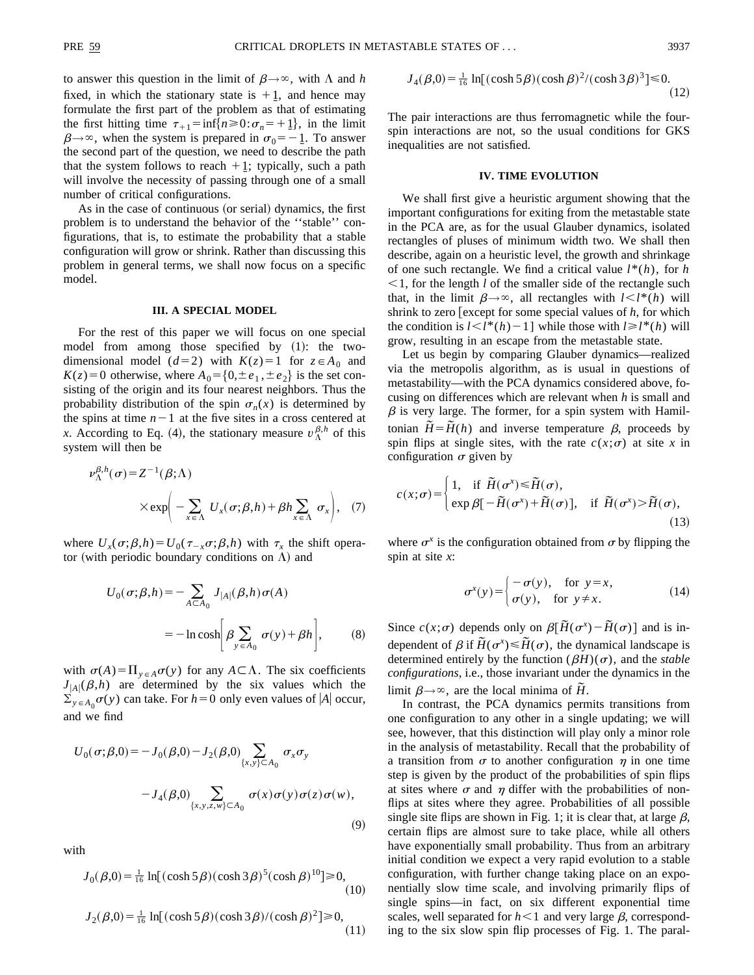to answer this question in the limit of  $\beta \rightarrow \infty$ , with  $\Lambda$  and *h* fixed, in which the stationary state is  $+1$ , and hence may formulate the first part of the problem as that of estimating the first hitting time  $\tau_{+1} = \inf\{n \ge 0 : \sigma_n = +1\}$ , in the limit  $\beta \rightarrow \infty$ , when the system is prepared in  $\sigma_0 = -1$ . To answer the second part of the question, we need to describe the path that the system follows to reach  $+1$ ; typically, such a path will involve the necessity of passing through one of a small number of critical configurations.

As in the case of continuous (or serial) dynamics, the first problem is to understand the behavior of the ''stable'' configurations, that is, to estimate the probability that a stable configuration will grow or shrink. Rather than discussing this problem in general terms, we shall now focus on a specific model.

# **III. A SPECIAL MODEL**

For the rest of this paper we will focus on one special model from among those specified by  $(1)$ : the twodimensional model ( $d=2$ ) with  $K(z)=1$  for  $z \in A_0$  and  $K(z) = 0$  otherwise, where  $A_0 = \{0, \pm e_1, \pm e_2\}$  is the set consisting of the origin and its four nearest neighbors. Thus the probability distribution of the spin  $\sigma_n(x)$  is determined by the spins at time  $n-1$  at the five sites in a cross centered at *x*. According to Eq. (4), the stationary measure  $v_{\Lambda}^{\beta,h}$  of this system will then be

$$
\nu_{\Lambda}^{\beta,h}(\sigma) = Z^{-1}(\beta;\Lambda)
$$
  
 
$$
\times \exp\left(-\sum_{x \in \Lambda} U_x(\sigma;\beta,h) + \beta h \sum_{x \in \Lambda} \sigma_x\right), \quad (7)
$$

where  $U_x(\sigma;\beta,h) = U_0(\tau_{-x}\sigma;\beta,h)$  with  $\tau_x$  the shift operator (with periodic boundary conditions on  $\Lambda$ ) and

$$
U_0(\sigma;\beta,h) = -\sum_{A \subset A_0} J_{|A|}(\beta,h)\sigma(A)
$$
  
= 
$$
-\ln \cosh \left[\beta \sum_{y \in A_0} \sigma(y) + \beta h\right],
$$
 (8)

with  $\sigma(A) = \prod_{y \in A} \sigma(y)$  for any  $A \subset \Lambda$ . The six coefficients  $J_{|A|}(\beta,h)$  are determined by the six values which the  $\sum_{y \in A_0} \sigma(y)$  can take. For  $h=0$  only even values of  $|A|$  occur, and we find

$$
U_0(\sigma;\beta,0) = -J_0(\beta,0) - J_2(\beta,0) \sum_{\{x,y\} \subset A_0} \sigma_x \sigma_y
$$
  
- 
$$
-J_4(\beta,0) \sum_{\{x,y,z,w\} \subset A_0} \sigma(x) \sigma(y) \sigma(z) \sigma(w),
$$
  
(9)

with

$$
J_0(\beta,0) = \frac{1}{16} \ln[(\cosh 5\beta)(\cosh 3\beta)^5(\cosh \beta)^{10}] \ge 0,
$$
\n(10)

$$
J_2(\beta,0) = \frac{1}{16} \ln[(\cosh 5\beta)(\cosh 3\beta)/(\cosh \beta)^2] \ge 0,
$$
\n(11)

$$
J_4(\beta,0) = \frac{1}{16} \ln[(\cosh 5\beta)(\cosh \beta)^2/(\cosh 3\beta)^3] \le 0.
$$
 (12)

The pair interactions are thus ferromagnetic while the fourspin interactions are not, so the usual conditions for GKS inequalities are not satisfied.

# **IV. TIME EVOLUTION**

We shall first give a heuristic argument showing that the important configurations for exiting from the metastable state in the PCA are, as for the usual Glauber dynamics, isolated rectangles of pluses of minimum width two. We shall then describe, again on a heuristic level, the growth and shrinkage of one such rectangle. We find a critical value  $l^*(h)$ , for *h*  $\leq$ 1, for the length *l* of the smaller side of the rectangle such that, in the limit  $\beta \rightarrow \infty$ , all rectangles with  $l \lt l^*(h)$  will shrink to zero  $\lceil$  except for some special values of  $h$ , for which the condition is  $l < l^*(h) - 1$  while those with  $l \ge l^*(h)$  will grow, resulting in an escape from the metastable state.

Let us begin by comparing Glauber dynamics—realized via the metropolis algorithm, as is usual in questions of metastability—with the PCA dynamics considered above, focusing on differences which are relevant when *h* is small and  $\beta$  is very large. The former, for a spin system with Hamiltonian  $\tilde{H} = \tilde{H}(h)$  and inverse temperature  $\beta$ , proceeds by spin flips at single sites, with the rate  $c(x; \sigma)$  at site *x* in configuration  $\sigma$  given by

$$
c(x; \sigma) = \begin{cases} 1, & \text{if } \widetilde{H}(\sigma^x) \leq \widetilde{H}(\sigma), \\ \exp \beta[-\widetilde{H}(\sigma^x) + \widetilde{H}(\sigma)], & \text{if } \widetilde{H}(\sigma^x) > \widetilde{H}(\sigma), \end{cases}
$$
(13)

where  $\sigma^x$  is the configuration obtained from  $\sigma$  by flipping the spin at site *x*:

$$
\sigma^{x}(y) = \begin{cases}\n-\sigma(y), & \text{for } y = x, \\
\sigma(y), & \text{for } y \neq x.\n\end{cases}
$$
\n(14)

Since  $c(x;\sigma)$  depends only on  $\beta[\tilde{H}(\sigma^x) - \tilde{H}(\sigma)]$  and is independent of  $\beta$  if  $\tilde{H}(\sigma^x) \leq \tilde{H}(\sigma)$ , the dynamical landscape is determined entirely by the function  $(\beta H)(\sigma)$ , and the *stable configurations*, i.e., those invariant under the dynamics in the limit  $\beta \rightarrow \infty$ , are the local minima of  $\tilde{H}$ .

In contrast, the PCA dynamics permits transitions from one configuration to any other in a single updating; we will see, however, that this distinction will play only a minor role in the analysis of metastability. Recall that the probability of a transition from  $\sigma$  to another configuration  $\eta$  in one time step is given by the product of the probabilities of spin flips at sites where  $\sigma$  and  $\eta$  differ with the probabilities of nonflips at sites where they agree. Probabilities of all possible single site flips are shown in Fig. 1; it is clear that, at large  $\beta$ , certain flips are almost sure to take place, while all others have exponentially small probability. Thus from an arbitrary initial condition we expect a very rapid evolution to a stable configuration, with further change taking place on an exponentially slow time scale, and involving primarily flips of single spins—in fact, on six different exponential time scales, well separated for  $h \leq 1$  and very large  $\beta$ , corresponding to the six slow spin flip processes of Fig. 1. The paral-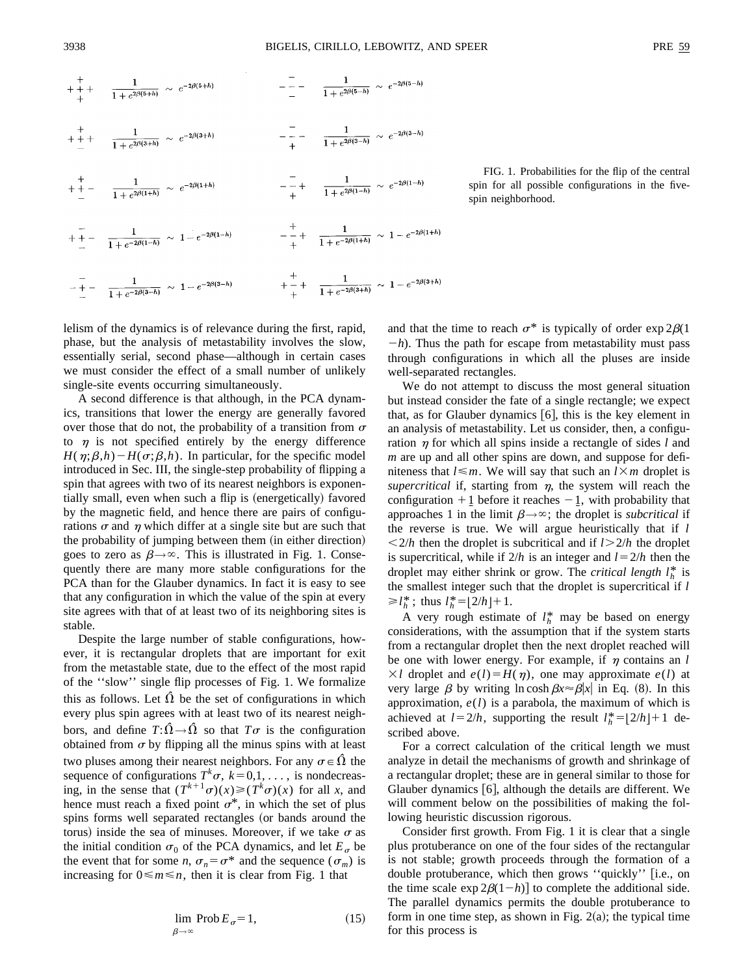

FIG. 1. Probabilities for the flip of the central spin for all possible configurations in the fivespin neighborhood.

lelism of the dynamics is of relevance during the first, rapid, phase, but the analysis of metastability involves the slow, essentially serial, second phase—although in certain cases we must consider the effect of a small number of unlikely single-site events occurring simultaneously.

A second difference is that although, in the PCA dynamics, transitions that lower the energy are generally favored over those that do not, the probability of a transition from  $\sigma$ to  $\eta$  is not specified entirely by the energy difference  $H(\eta;\beta,h) - H(\sigma;\beta,h)$ . In particular, for the specific model introduced in Sec. III, the single-step probability of flipping a spin that agrees with two of its nearest neighbors is exponentially small, even when such a flip is (energetically) favored by the magnetic field, and hence there are pairs of configurations  $\sigma$  and  $\eta$  which differ at a single site but are such that the probability of jumping between them (in either direction) goes to zero as  $\beta \rightarrow \infty$ . This is illustrated in Fig. 1. Consequently there are many more stable configurations for the PCA than for the Glauber dynamics. In fact it is easy to see that any configuration in which the value of the spin at every site agrees with that of at least two of its neighboring sites is stable.

Despite the large number of stable configurations, however, it is rectangular droplets that are important for exit from the metastable state, due to the effect of the most rapid of the ''slow'' single flip processes of Fig. 1. We formalize this as follows. Let  $\hat{\Omega}$  be the set of configurations in which every plus spin agrees with at least two of its nearest neighbors, and define  $T:\hat{\Omega}\rightarrow\hat{\Omega}$  so that  $T\sigma$  is the configuration obtained from  $\sigma$  by flipping all the minus spins with at least two pluses among their nearest neighbors. For any  $\sigma \in \hat{\Omega}$  the sequence of configurations  $T^k \sigma$ ,  $k=0,1,\ldots$ , is nondecreasing, in the sense that  $(T^{k+1}\sigma)(x) \geq (T^k\sigma)(x)$  for all *x*, and hence must reach a fixed point  $\sigma^*$ , in which the set of plus spins forms well separated rectangles (or bands around the torus) inside the sea of minuses. Moreover, if we take  $\sigma$  as the initial condition  $\sigma_0$  of the PCA dynamics, and let  $E_{\sigma}$  be the event that for some *n*,  $\sigma_n = \sigma^*$  and the sequence  $(\sigma_m)$  is increasing for  $0 \le m \le n$ , then it is clear from Fig. 1 that

$$
\lim_{\beta \to \infty} \text{Prob } E_{\sigma} = 1,\tag{15}
$$

and that the time to reach  $\sigma^*$  is typically of order exp 2 $\beta$ (1)  $-h$ ). Thus the path for escape from metastability must pass through configurations in which all the pluses are inside well-separated rectangles.

We do not attempt to discuss the most general situation but instead consider the fate of a single rectangle; we expect that, as for Glauber dynamics  $[6]$ , this is the key element in an analysis of metastability. Let us consider, then, a configuration  $\eta$  for which all spins inside a rectangle of sides *l* and *m* are up and all other spins are down, and suppose for definiteness that  $l \leq m$ . We will say that such an  $l \times m$  droplet is *supercritical* if, starting from  $n$ , the system will reach the configuration  $+1$  before it reaches  $-1$ , with probability that approaches 1 in the limit  $\beta \rightarrow \infty$ ; the droplet is *subcritical* if the reverse is true. We will argue heuristically that if *l*  $\langle 2/h \rangle$  then the droplet is subcritical and if  $l > 2/h$  the droplet is supercritical, while if  $2/h$  is an integer and  $l = 2/h$  then the droplet may either shrink or grow. The *critical length*  $l_h^*$  is the smallest integer such that the droplet is supercritical if *l*  $\geq l_h^*$ ; thus  $l_h^* = \lfloor 2/h \rfloor + 1$ .

A very rough estimate of  $l_h^*$  may be based on energy considerations, with the assumption that if the system starts from a rectangular droplet then the next droplet reached will be one with lower energy. For example, if  $\eta$  contains an *l*  $\times l$  droplet and  $e(l) = H(\eta)$ , one may approximate  $e(l)$  at very large  $\beta$  by writing ln cosh  $\beta x \approx \beta |x|$  in Eq. (8). In this approximation, *e*(*l*) is a parabola, the maximum of which is achieved at  $l = 2/h$ , supporting the result  $l_h^* = \lfloor 2/h \rfloor + 1$  described above.

For a correct calculation of the critical length we must analyze in detail the mechanisms of growth and shrinkage of a rectangular droplet; these are in general similar to those for Glauber dynamics  $[6]$ , although the details are different. We will comment below on the possibilities of making the following heuristic discussion rigorous.

Consider first growth. From Fig. 1 it is clear that a single plus protuberance on one of the four sides of the rectangular is not stable; growth proceeds through the formation of a double protuberance, which then grows "quickly" [i.e., on the time scale  $\exp 2\beta(1-h)$  to complete the additional side. The parallel dynamics permits the double protuberance to form in one time step, as shown in Fig.  $2(a)$ ; the typical time for this process is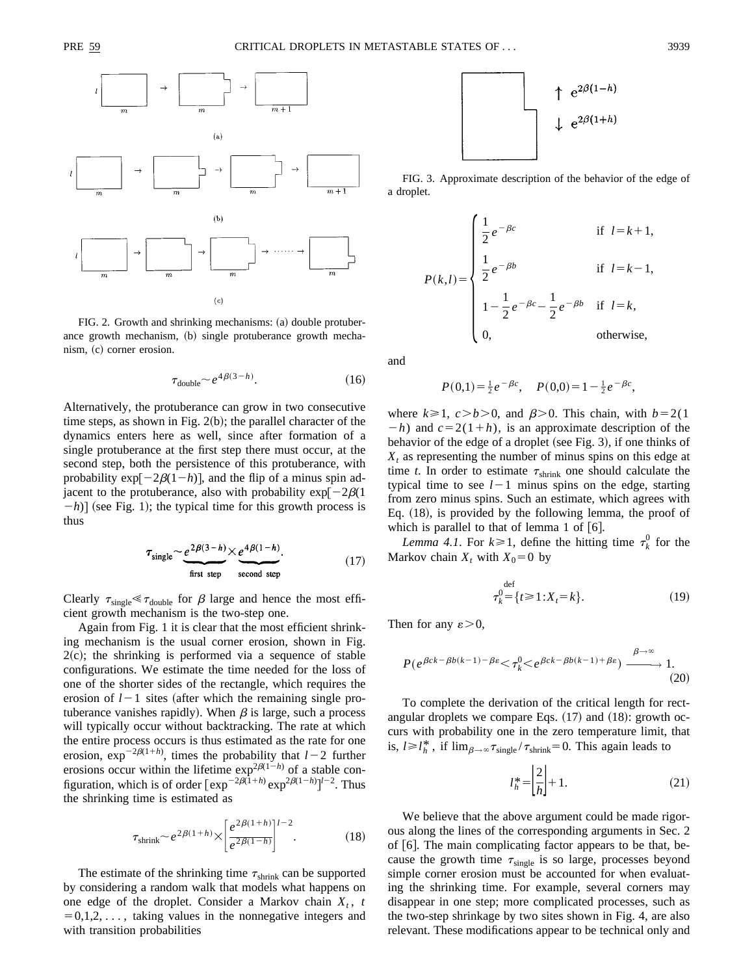

FIG. 2. Growth and shrinking mechanisms: (a) double protuberance growth mechanism, (b) single protuberance growth mechanism, (c) corner erosion.

$$
\tau_{\text{double}} \sim e^{4\beta(3-h)}.\tag{16}
$$

Alternatively, the protuberance can grow in two consecutive time steps, as shown in Fig.  $2(b)$ ; the parallel character of the dynamics enters here as well, since after formation of a single protuberance at the first step there must occur, at the second step, both the persistence of this protuberance, with probability  $exp[-2\beta(1-h)]$ , and the flip of a minus spin adjacent to the protuberance, also with probability  $\exp[-2\beta(1$  $-h$ ] (see Fig. 1); the typical time for this growth process is thus

$$
\tau_{\text{single}} \sim \underbrace{e^{2\beta(3-h)} \times e^{4\beta(1-h)}}_{\text{first step}}.
$$
\n(17)

Clearly  $\tau_{single} \ll \tau_{double}$  for  $\beta$  large and hence the most efficient growth mechanism is the two-step one.

Again from Fig. 1 it is clear that the most efficient shrinking mechanism is the usual corner erosion, shown in Fig.  $2(c)$ ; the shrinking is performed via a sequence of stable configurations. We estimate the time needed for the loss of one of the shorter sides of the rectangle, which requires the erosion of  $l-1$  sites (after which the remaining single protuberance vanishes rapidly). When  $\beta$  is large, such a process will typically occur without backtracking. The rate at which the entire process occurs is thus estimated as the rate for one erosion,  $exp^{-2\beta(1+h)}$ , times the probability that  $l-2$  further erosions occur within the lifetime  $\exp^{2\beta(1-h)}$  of a stable configuration, which is of order  $[\exp^{-2\beta(1+h)} \exp^{2\beta(1-h)}]^{l-2}$ . Thus the shrinking time is estimated as

$$
\tau_{\text{shrink}} \sim e^{2\beta(1+h)} \times \left[ \frac{e^{2\beta(1+h)}}{e^{2\beta(1-h)}} \right]^{l-2}.
$$
 (18)

The estimate of the shrinking time  $\tau_{\text{shrink}}$  can be supported by considering a random walk that models what happens on one edge of the droplet. Consider a Markov chain  $X_t$ , t  $=0,1,2,\ldots$ , taking values in the nonnegative integers and with transition probabilities



FIG. 3. Approximate description of the behavior of the edge of a droplet.

$$
P(k,l) = \begin{cases} \frac{1}{2}e^{-\beta c} & \text{if } l = k+1, \\ \frac{1}{2}e^{-\beta b} & \text{if } l = k-1, \\ 1 - \frac{1}{2}e^{-\beta c} - \frac{1}{2}e^{-\beta b} & \text{if } l = k, \\ 0, & \text{otherwise,} \end{cases}
$$

and

$$
P(0,1) = \frac{1}{2}e^{-\beta c}, \quad P(0,0) = 1 - \frac{1}{2}e^{-\beta c},
$$

where  $k \ge 1$ ,  $c > b > 0$ , and  $\beta > 0$ . This chain, with  $b = 2(1)$  $-h$ ) and  $c=2(1+h)$ , is an approximate description of the behavior of the edge of a droplet (see Fig. 3), if one thinks of  $X_t$  as representing the number of minus spins on this edge at time *t*. In order to estimate  $\tau_{\text{shrink}}$  one should calculate the typical time to see  $l-1$  minus spins on the edge, starting from zero minus spins. Such an estimate, which agrees with Eq.  $(18)$ , is provided by the following lemma, the proof of which is parallel to that of lemma 1 of  $[6]$ .

*Lemma 4.1*. For  $k \ge 1$ , define the hitting time  $\tau_k^0$  for the Markov chain  $X_t$  with  $X_0 = 0$  by

$$
\tau_k^0 = \{ t \ge 1 : X_t = k \}.
$$
 (19)

Then for any  $\varepsilon > 0$ ,

$$
P(e^{\beta ck - \beta b(k-1) - \beta \varepsilon} < \tau_k^0 < e^{\beta ck - \beta b(k-1) + \beta \varepsilon} \xrightarrow{\beta \to \infty} 1. \tag{20}
$$

To complete the derivation of the critical length for rectangular droplets we compare Eqs.  $(17)$  and  $(18)$ : growth occurs with probability one in the zero temperature limit, that is,  $l \ge l_h^*$ , if  $\lim_{\beta \to \infty} \tau_{\text{single}} / \tau_{\text{shrink}} = 0$ . This again leads to

$$
l_h^* = \left| \frac{2}{h} \right| + 1. \tag{21}
$$

We believe that the above argument could be made rigorous along the lines of the corresponding arguments in Sec. 2 of [6]. The main complicating factor appears to be that, because the growth time  $\tau_{\text{single}}$  is so large, processes beyond simple corner erosion must be accounted for when evaluating the shrinking time. For example, several corners may disappear in one step; more complicated processes, such as the two-step shrinkage by two sites shown in Fig. 4, are also relevant. These modifications appear to be technical only and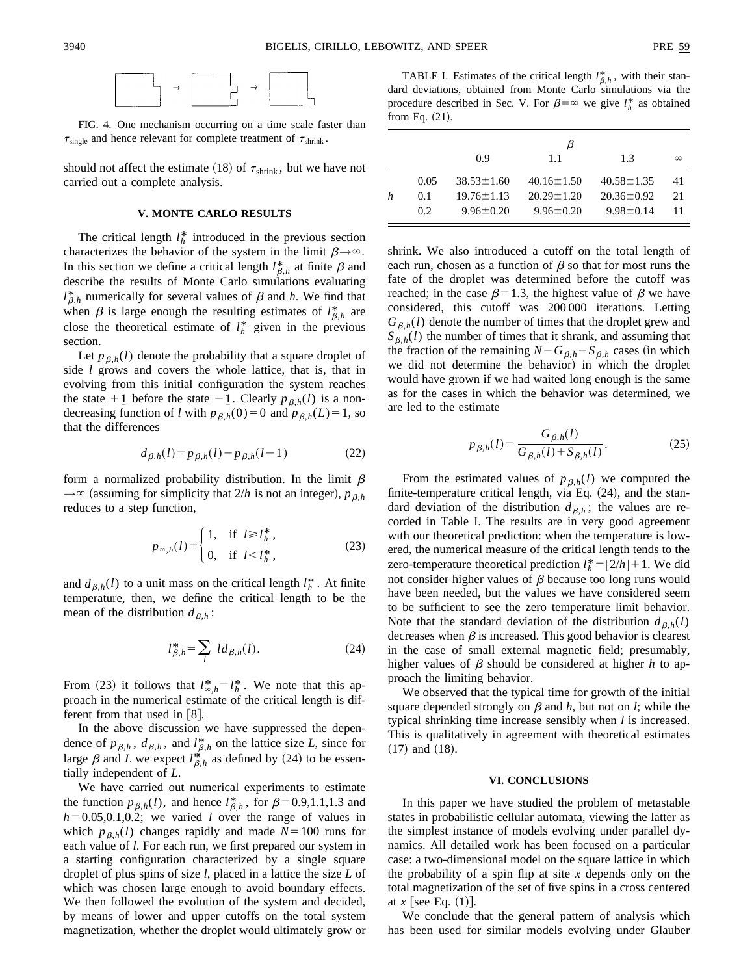

FIG. 4. One mechanism occurring on a time scale faster than  $\tau_{\text{single}}$  and hence relevant for complete treatment of  $\tau_{\text{shrink}}$ .

should not affect the estimate (18) of  $\tau_{\text{shrink}}$ , but we have not carried out a complete analysis.

#### **V. MONTE CARLO RESULTS**

The critical length  $l_h^*$  introduced in the previous section characterizes the behavior of the system in the limit  $\beta \rightarrow \infty$ . In this section we define a critical length  $l_{\beta,h}^*$  at finite  $\beta$  and describe the results of Monte Carlo simulations evaluating  $l_{\beta,h}^*$  numerically for several values of  $\beta$  and *h*. We find that when  $\beta$  is large enough the resulting estimates of  $l_{\beta,h}^*$  are close the theoretical estimate of  $l_h^*$  given in the previous section.

Let  $p_{\beta,h}(l)$  denote the probability that a square droplet of side *l* grows and covers the whole lattice, that is, that in evolving from this initial configuration the system reaches the state  $+1$  before the state  $-1$ . Clearly  $p_{\beta,h}(l)$  is a nondecreasing function of *l* with  $p_{\beta,h}(0)=0$  and  $p_{\beta,h}(L)=1$ , so that the differences

$$
d_{\beta,h}(l) = p_{\beta,h}(l) - p_{\beta,h}(l-1)
$$
 (22)

form a normalized probability distribution. In the limit  $\beta$  $\rightarrow \infty$  (assuming for simplicity that 2/*h* is not an integer),  $p_{\beta,h}$ reduces to a step function,

$$
p_{\infty,h}(l) = \begin{cases} 1, & \text{if } l \ge l_h^*, \\ 0, & \text{if } l < l_h^*, \end{cases} \tag{23}
$$

and  $d_{\beta,h}(l)$  to a unit mass on the critical length  $l_h^*$ . At finite temperature, then, we define the critical length to be the mean of the distribution  $d_{\beta,h}$ :

$$
l_{\beta,h}^* = \sum_l \, l d_{\beta,h}(l). \tag{24}
$$

From (23) it follows that  $l_{\infty,h}^* = l_h^*$ . We note that this approach in the numerical estimate of the critical length is different from that used in  $\lceil 8 \rceil$ .

In the above discussion we have suppressed the dependence of  $p_{\beta,h}$ ,  $d_{\beta,h}$ , and  $l_{\beta,h}^*$  on the lattice size *L*, since for large  $\beta$  and *L* we expect  $l_{\beta,h}^*$  as defined by (24) to be essentially independent of *L*.

We have carried out numerical experiments to estimate the function  $p_{\beta,h}(l)$ , and hence  $l_{\beta,h}^*$ , for  $\beta=0.9,1.1,1.3$  and  $h=0.05,0.1,0.2$ ; we varied *l* over the range of values in which  $p_{\beta,h}(l)$  changes rapidly and made  $N=100$  runs for each value of *l*. For each run, we first prepared our system in a starting configuration characterized by a single square droplet of plus spins of size *l*, placed in a lattice the size *L* of which was chosen large enough to avoid boundary effects. We then followed the evolution of the system and decided, by means of lower and upper cutoffs on the total system magnetization, whether the droplet would ultimately grow or

TABLE I. Estimates of the critical length  $l_{\beta,h}^*$ , with their standard deviations, obtained from Monte Carlo simulations via the procedure described in Sec. V. For  $\beta = \infty$  we give  $l_h^*$  as obtained from Eq.  $(21)$ .

|   |      |                  | ĸ                |                  |          |
|---|------|------------------|------------------|------------------|----------|
|   |      | 0.9              | 11               | 1.3              | $\infty$ |
|   | 0.05 | $38.53 \pm 1.60$ | $40.16 \pm 1.50$ | $40.58 \pm 1.35$ | 41       |
| h | 0.1  | $19.76 \pm 1.13$ | $20.29 \pm 1.20$ | $20.36 \pm 0.92$ | 21       |
|   | 0.2  | $9.96 \pm 0.20$  | $9.96 \pm 0.20$  | $9.98 \pm 0.14$  | 11       |

shrink. We also introduced a cutoff on the total length of each run, chosen as a function of  $\beta$  so that for most runs the fate of the droplet was determined before the cutoff was reached; in the case  $\beta=1.3$ , the highest value of  $\beta$  we have considered, this cutoff was 200 000 iterations. Letting  $G_{\beta,h}(l)$  denote the number of times that the droplet grew and  $S_{\beta,h}(l)$  the number of times that it shrank, and assuming that the fraction of the remaining  $N - G_{\beta,h} - S_{\beta,h}$  cases (in which we did not determine the behavior) in which the droplet would have grown if we had waited long enough is the same as for the cases in which the behavior was determined, we are led to the estimate

$$
p_{\beta,h}(l) = \frac{G_{\beta,h}(l)}{G_{\beta,h}(l) + S_{\beta,h}(l)}.
$$
 (25)

From the estimated values of  $p_{\beta,h}(l)$  we computed the finite-temperature critical length, via Eq.  $(24)$ , and the standard deviation of the distribution  $d_{\beta,h}$ ; the values are recorded in Table I. The results are in very good agreement with our theoretical prediction: when the temperature is lowered, the numerical measure of the critical length tends to the zero-temperature theoretical prediction  $l_h^* = [2/h] + 1$ . We did not consider higher values of  $\beta$  because too long runs would have been needed, but the values we have considered seem to be sufficient to see the zero temperature limit behavior. Note that the standard deviation of the distribution  $d_{\beta,h}(l)$ decreases when  $\beta$  is increased. This good behavior is clearest in the case of small external magnetic field; presumably, higher values of  $\beta$  should be considered at higher *h* to approach the limiting behavior.

We observed that the typical time for growth of the initial square depended strongly on  $\beta$  and  $h$ , but not on  $l$ ; while the typical shrinking time increase sensibly when *l* is increased. This is qualitatively in agreement with theoretical estimates  $(17)$  and  $(18)$ .

### **VI. CONCLUSIONS**

In this paper we have studied the problem of metastable states in probabilistic cellular automata, viewing the latter as the simplest instance of models evolving under parallel dynamics. All detailed work has been focused on a particular case: a two-dimensional model on the square lattice in which the probability of a spin flip at site *x* depends only on the total magnetization of the set of five spins in a cross centered at  $x$  see Eq.  $(1)$ .

We conclude that the general pattern of analysis which has been used for similar models evolving under Glauber